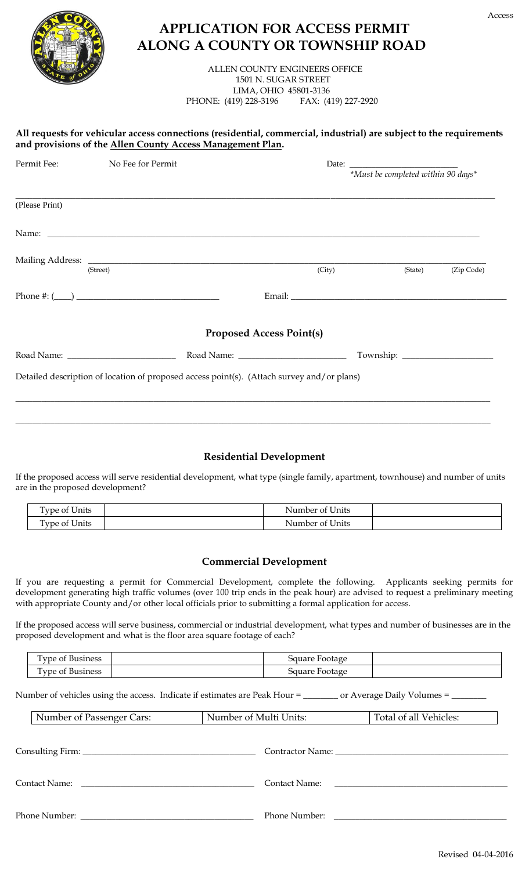

## **APPLICATION FOR ACCESS PERMIT ALONG A COUNTY OR TOWNSHIP ROAD**

 ALLEN COUNTY ENGINEERS OFFICE 1501 N. SUGAR STREET LIMA, OHIO 45801-3136 PHONE: (419) 228-3196 FAX: (419) 227-2920

## **All requests for vehicular access connections (residential, commercial, industrial) are subject to the requirements and provisions of the Allen County Access Management Plan.**

| Permit Fee:    | No Fee for Permit                                                                          |                                 | *Must be completed within 90 days* |            |
|----------------|--------------------------------------------------------------------------------------------|---------------------------------|------------------------------------|------------|
| (Please Print) |                                                                                            |                                 |                                    |            |
|                |                                                                                            |                                 |                                    |            |
|                | (Street)                                                                                   | (City)                          | (State)                            | (Zip Code) |
|                |                                                                                            |                                 |                                    |            |
|                |                                                                                            | <b>Proposed Access Point(s)</b> |                                    |            |
|                |                                                                                            |                                 |                                    |            |
|                | Detailed description of location of proposed access point(s). (Attach survey and/or plans) |                                 |                                    |            |
|                |                                                                                            |                                 |                                    |            |

## **Residential Development**

If the proposed access will serve residential development, what type (single family, apartment, townhouse) and number of units are in the proposed development?

| $\sim$ $\sim$ $\sim$<br>m.<br><b>Cype of Units</b> | Number of Units |  |
|----------------------------------------------------|-----------------|--|
| l'ype of Units                                     | Number of Units |  |

## **Commercial Development**

If you are requesting a permit for Commercial Development, complete the following. Applicants seeking permits for development generating high traffic volumes (over 100 trip ends in the peak hour) are advised to request a preliminary meeting with appropriate County and/or other local officials prior to submitting a formal application for access.

If the proposed access will serve business, commercial or industrial development, what types and number of businesses are in the proposed development and what is the floor area square footage of each?

| $\overline{\phantom{a}}$<br>business<br>.vpe of | Footage<br>pauare |  |
|-------------------------------------------------|-------------------|--|
| $\mathbf{r}$<br>l vpe of l<br>business          | Square Footage    |  |

Number of vehicles using the access. Indicate if estimates are Peak Hour = \_\_\_\_\_\_\_ or Average Daily Volumes = \_

| Number of Passenger Cars:                                                  | Number of Multi Units: | Total of all Vehicles: |  |
|----------------------------------------------------------------------------|------------------------|------------------------|--|
|                                                                            |                        |                        |  |
| Contact Name:<br><u> 1980 - John Stein, Amerikaansk politiker (* 1980)</u> | Contact Name:          |                        |  |
|                                                                            |                        | Phone Number:          |  |